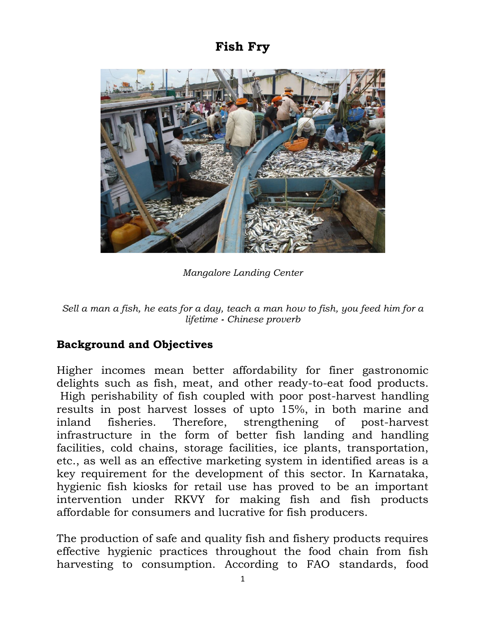## **Fish Fry**



*Mangalore Landing Center* 

*Sell a man a fish, he eats for a day, teach a man how to fish, you feed him for a lifetime - Chinese proverb*

## **Background and Objectives**

Higher incomes mean better affordability for finer gastronomic delights such as fish, meat, and other ready-to-eat food products. High perishability of fish coupled with poor post-harvest handling results in post harvest losses of upto 15%, in both marine and inland fisheries. Therefore, strengthening of post-harvest infrastructure in the form of better fish landing and handling facilities, cold chains, storage facilities, ice plants, transportation, etc., as well as an effective marketing system in identified areas is a key requirement for the development of this sector. In Karnataka, hygienic fish kiosks for retail use has proved to be an important intervention under RKVY for making fish and fish products affordable for consumers and lucrative for fish producers.

The production of safe and quality fish and fishery products requires effective hygienic practices throughout the food chain from fish harvesting to consumption. According to FAO standards, food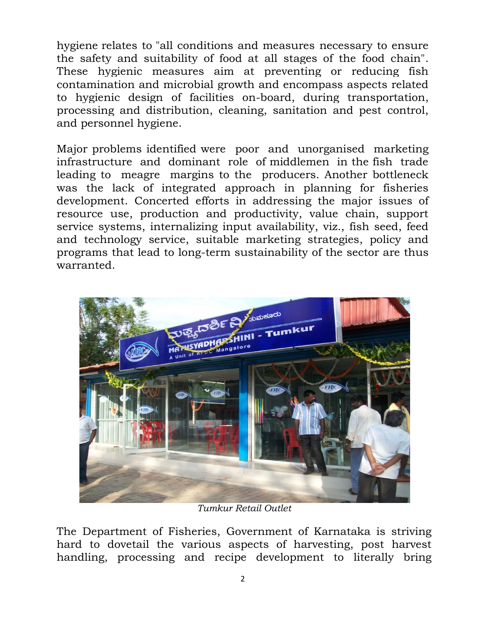hygiene relates to "all conditions and measures necessary to ensure the safety and suitability of food at all stages of the food chain". These hygienic measures aim at preventing or reducing fish contamination and microbial growth and encompass aspects related to hygienic design of facilities on-board, during transportation, processing and distribution, cleaning, sanitation and pest control, and personnel hygiene.

Major problems identified were poor and unorganised marketing infrastructure and dominant role of middlemen in the fish trade leading to meagre margins to the producers. Another bottleneck was the lack of integrated approach in planning for fisheries development. Concerted efforts in addressing the major issues of resource use, production and productivity, value chain, support service systems, internalizing input availability, viz., fish seed, feed and technology service, suitable marketing strategies, policy and programs that lead to long-term sustainability of the sector are thus warranted.



*Tumkur Retail Outlet* 

The Department of Fisheries, Government of Karnataka is striving hard to dovetail the various aspects of harvesting, post harvest handling, processing and recipe development to literally bring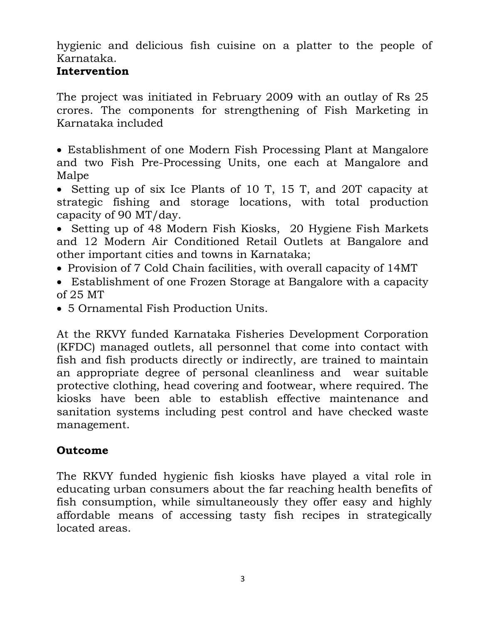hygienic and delicious fish cuisine on a platter to the people of Karnataka.

## **Intervention**

The project was initiated in February 2009 with an outlay of Rs 25 crores. The components for strengthening of Fish Marketing in Karnataka included

 Establishment of one Modern Fish Processing Plant at Mangalore and two Fish Pre-Processing Units, one each at Mangalore and Malpe

• Setting up of six Ice Plants of 10 T, 15 T, and 20T capacity at strategic fishing and storage locations, with total production capacity of 90 MT/day.

- Setting up of 48 Modern Fish Kiosks, 20 Hygiene Fish Markets and 12 Modern Air Conditioned Retail Outlets at Bangalore and other important cities and towns in Karnataka;
- Provision of 7 Cold Chain facilities, with overall capacity of 14MT
- Establishment of one Frozen Storage at Bangalore with a capacity of 25 MT
- 5 Ornamental Fish Production Units.

At the RKVY funded Karnataka Fisheries Development Corporation (KFDC) managed outlets, all personnel that come into contact with fish and fish products directly or indirectly, are trained to maintain an appropriate degree of personal cleanliness and wear suitable protective clothing, head covering and footwear, where required. The kiosks have been able to establish effective maintenance and sanitation systems including pest control and have checked waste management.

## **Outcome**

The RKVY funded hygienic fish kiosks have played a vital role in educating urban consumers about the far reaching health benefits of fish consumption, while simultaneously they offer easy and highly affordable means of accessing tasty fish recipes in strategically located areas.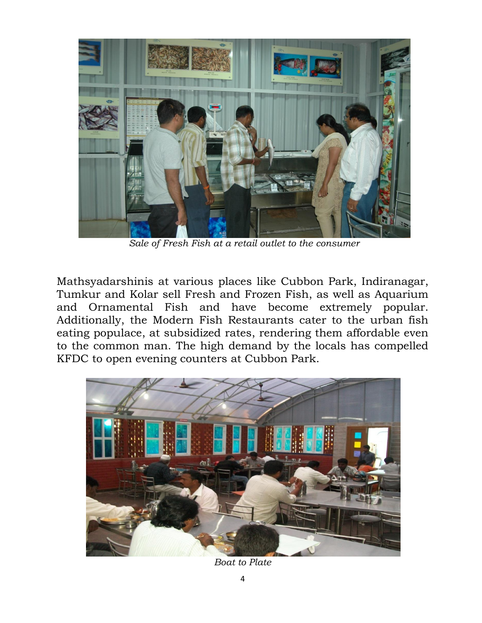

*Sale of Fresh Fish at a retail outlet to the consumer* 

Mathsyadarshinis at various places like Cubbon Park, Indiranagar, Tumkur and Kolar sell Fresh and Frozen Fish, as well as Aquarium and Ornamental Fish and have become extremely popular. Additionally, the Modern Fish Restaurants cater to the urban fish eating populace, at subsidized rates, rendering them affordable even to the common man. The high demand by the locals has compelled KFDC to open evening counters at Cubbon Park.



*Boat to Plate*